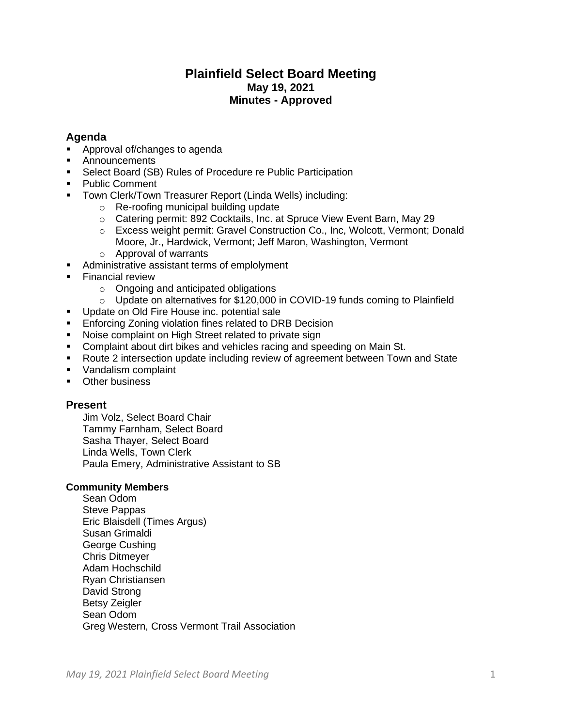# **Plainfield Select Board Meeting May 19, 2021 Minutes - Approved**

# **Agenda**

- Approval of/changes to agenda
- **Announcements**
- Select Board (SB) Rules of Procedure re Public Participation
- Public Comment
- Town Clerk/Town Treasurer Report (Linda Wells) including:
	- o Re-roofing municipal building update
	- o Catering permit: 892 Cocktails, Inc. at Spruce View Event Barn, May 29
	- o Excess weight permit: Gravel Construction Co., Inc, Wolcott, Vermont; Donald Moore, Jr., Hardwick, Vermont; Jeff Maron, Washington, Vermont
	- o Approval of warrants
- Administrative assistant terms of emplolyment
- **Exercial review** 
	- o Ongoing and anticipated obligations
	- $\circ$  Update on alternatives for \$120,000 in COVID-19 funds coming to Plainfield
- Update on Old Fire House inc. potential sale
- **Enforcing Zoning violation fines related to DRB Decision**
- Noise complaint on High Street related to private sign
- Complaint about dirt bikes and vehicles racing and speeding on Main St.
- Route 2 intersection update including review of agreement between Town and State
- Vandalism complaint
- Other business

# **Present**

Jim Volz, Select Board Chair Tammy Farnham, Select Board Sasha Thayer, Select Board Linda Wells, Town Clerk Paula Emery, Administrative Assistant to SB

# **Community Members**

Sean Odom Steve Pappas Eric Blaisdell (Times Argus) Susan Grimaldi George Cushing Chris Ditmeyer Adam Hochschild Ryan Christiansen David Strong Betsy Zeigler Sean Odom Greg Western, Cross Vermont Trail Association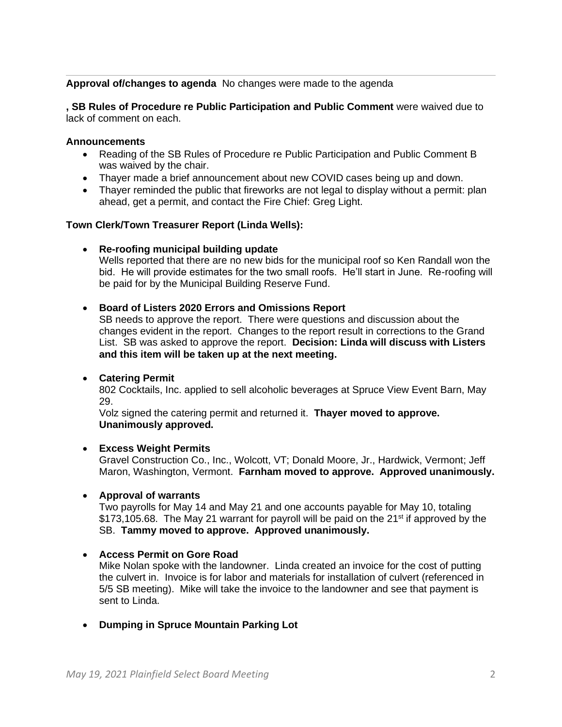# **Approval of/changes to agenda** No changes were made to the agenda

**, SB Rules of Procedure re Public Participation and Public Comment** were waived due to lack of comment on each.

#### **Announcements**

- Reading of the SB Rules of Procedure re Public Participation and Public Comment B was waived by the chair.
- Thayer made a brief announcement about new COVID cases being up and down.
- Thayer reminded the public that fireworks are not legal to display without a permit: plan ahead, get a permit, and contact the Fire Chief: Greg Light.

#### **Town Clerk/Town Treasurer Report (Linda Wells):**

#### • **Re-roofing municipal building update**

Wells reported that there are no new bids for the municipal roof so Ken Randall won the bid. He will provide estimates for the two small roofs. He'll start in June. Re-roofing will be paid for by the Municipal Building Reserve Fund.

### • **Board of Listers 2020 Errors and Omissions Report**

SB needs to approve the report. There were questions and discussion about the changes evident in the report. Changes to the report result in corrections to the Grand List. SB was asked to approve the report. **Decision: Linda will discuss with Listers and this item will be taken up at the next meeting.**

#### • **Catering Permit**

802 Cocktails, Inc. applied to sell alcoholic beverages at Spruce View Event Barn, May 29.

Volz signed the catering permit and returned it. **Thayer moved to approve. Unanimously approved.**

#### • **Excess Weight Permits**

Gravel Construction Co., Inc., Wolcott, VT; Donald Moore, Jr., Hardwick, Vermont; Jeff Maron, Washington, Vermont. **Farnham moved to approve. Approved unanimously.**

#### • **Approval of warrants**

Two payrolls for May 14 and May 21 and one accounts payable for May 10, totaling  $$173,105.68$ . The May 21 warrant for payroll will be paid on the 21<sup>st</sup> if approved by the SB. **Tammy moved to approve. Approved unanimously.**

#### • **Access Permit on Gore Road**

Mike Nolan spoke with the landowner. Linda created an invoice for the cost of putting the culvert in. Invoice is for labor and materials for installation of culvert (referenced in 5/5 SB meeting). Mike will take the invoice to the landowner and see that payment is sent to Linda.

• **Dumping in Spruce Mountain Parking Lot**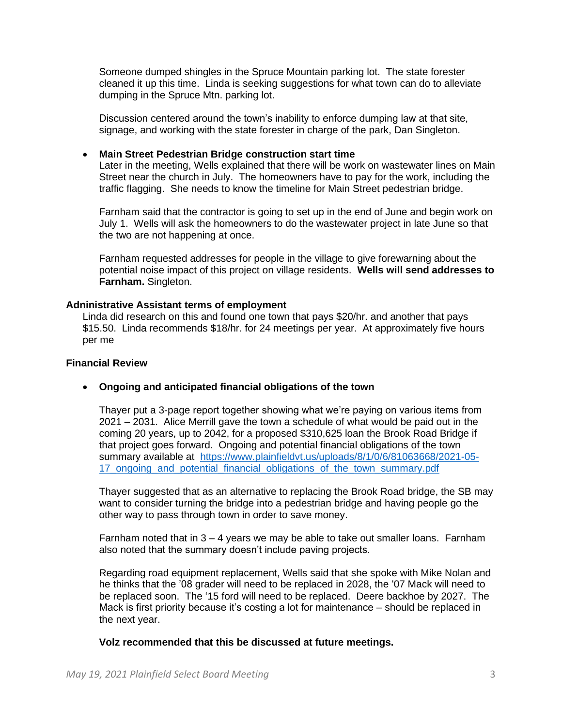Someone dumped shingles in the Spruce Mountain parking lot. The state forester cleaned it up this time. Linda is seeking suggestions for what town can do to alleviate dumping in the Spruce Mtn. parking lot.

Discussion centered around the town's inability to enforce dumping law at that site, signage, and working with the state forester in charge of the park, Dan Singleton.

### • **Main Street Pedestrian Bridge construction start time**

Later in the meeting, Wells explained that there will be work on wastewater lines on Main Street near the church in July. The homeowners have to pay for the work, including the traffic flagging. She needs to know the timeline for Main Street pedestrian bridge.

Farnham said that the contractor is going to set up in the end of June and begin work on July 1. Wells will ask the homeowners to do the wastewater project in late June so that the two are not happening at once.

Farnham requested addresses for people in the village to give forewarning about the potential noise impact of this project on village residents. **Wells will send addresses to Farnham.** Singleton.

### **Adninistrative Assistant terms of employment**

Linda did research on this and found one town that pays \$20/hr. and another that pays \$15.50. Linda recommends \$18/hr. for 24 meetings per year. At approximately five hours per me

#### **Financial Review**

#### • **Ongoing and anticipated financial obligations of the town**

Thayer put a 3-page report together showing what we're paying on various items from 2021 – 2031. Alice Merrill gave the town a schedule of what would be paid out in the coming 20 years, up to 2042, for a proposed \$310,625 loan the Brook Road Bridge if that project goes forward. Ongoing and potential financial obligations of the town summary available at [https://www.plainfieldvt.us/uploads/8/1/0/6/81063668/2021-05-](https://www.plainfieldvt.us/uploads/8/1/0/6/81063668/2021-05-17_ongoing_and_potential_financial_obligations_of_the_town_summary.pdf) 17 ongoing and potential financial obligations of the town summary.pdf

Thayer suggested that as an alternative to replacing the Brook Road bridge, the SB may want to consider turning the bridge into a pedestrian bridge and having people go the other way to pass through town in order to save money.

Farnham noted that in  $3 - 4$  years we may be able to take out smaller loans. Farnham also noted that the summary doesn't include paving projects.

Regarding road equipment replacement, Wells said that she spoke with Mike Nolan and he thinks that the '08 grader will need to be replaced in 2028, the '07 Mack will need to be replaced soon. The '15 ford will need to be replaced. Deere backhoe by 2027. The Mack is first priority because it's costing a lot for maintenance – should be replaced in the next year.

#### **Volz recommended that this be discussed at future meetings.**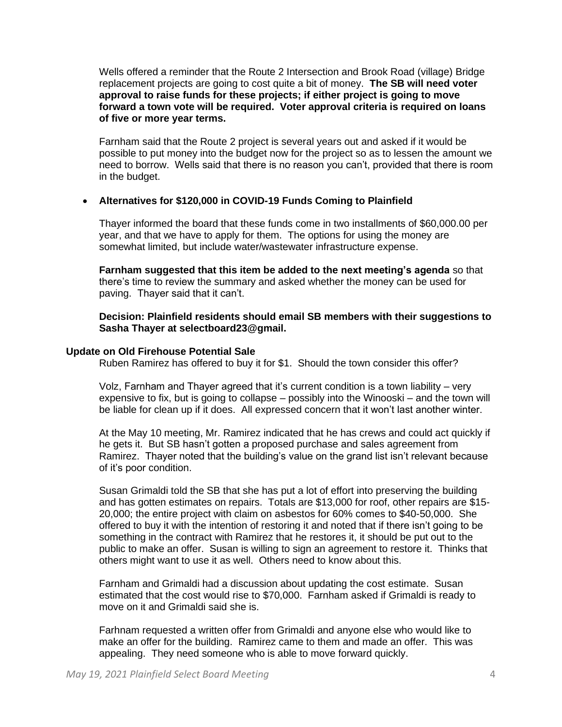Wells offered a reminder that the Route 2 Intersection and Brook Road (village) Bridge replacement projects are going to cost quite a bit of money. **The SB will need voter approval to raise funds for these projects; if either project is going to move forward a town vote will be required. Voter approval criteria is required on loans of five or more year terms.** 

Farnham said that the Route 2 project is several years out and asked if it would be possible to put money into the budget now for the project so as to lessen the amount we need to borrow. Wells said that there is no reason you can't, provided that there is room in the budget.

### • **Alternatives for \$120,000 in COVID-19 Funds Coming to Plainfield**

Thayer informed the board that these funds come in two installments of \$60,000.00 per year, and that we have to apply for them. The options for using the money are somewhat limited, but include water/wastewater infrastructure expense.

**Farnham suggested that this item be added to the next meeting's agenda** so that there's time to review the summary and asked whether the money can be used for paving. Thayer said that it can't.

**Decision: Plainfield residents should email SB members with their suggestions to Sasha Thayer at selectboard23@gmail.** 

#### **Update on Old Firehouse Potential Sale**

Ruben Ramirez has offered to buy it for \$1. Should the town consider this offer?

Volz, Farnham and Thayer agreed that it's current condition is a town liability – very expensive to fix, but is going to collapse – possibly into the Winooski – and the town will be liable for clean up if it does. All expressed concern that it won't last another winter.

At the May 10 meeting, Mr. Ramirez indicated that he has crews and could act quickly if he gets it. But SB hasn't gotten a proposed purchase and sales agreement from Ramirez. Thayer noted that the building's value on the grand list isn't relevant because of it's poor condition.

Susan Grimaldi told the SB that she has put a lot of effort into preserving the building and has gotten estimates on repairs. Totals are \$13,000 for roof, other repairs are \$15- 20,000; the entire project with claim on asbestos for 60% comes to \$40-50,000. She offered to buy it with the intention of restoring it and noted that if there isn't going to be something in the contract with Ramirez that he restores it, it should be put out to the public to make an offer. Susan is willing to sign an agreement to restore it. Thinks that others might want to use it as well. Others need to know about this.

Farnham and Grimaldi had a discussion about updating the cost estimate. Susan estimated that the cost would rise to \$70,000. Farnham asked if Grimaldi is ready to move on it and Grimaldi said she is.

Farhnam requested a written offer from Grimaldi and anyone else who would like to make an offer for the building. Ramirez came to them and made an offer. This was appealing. They need someone who is able to move forward quickly.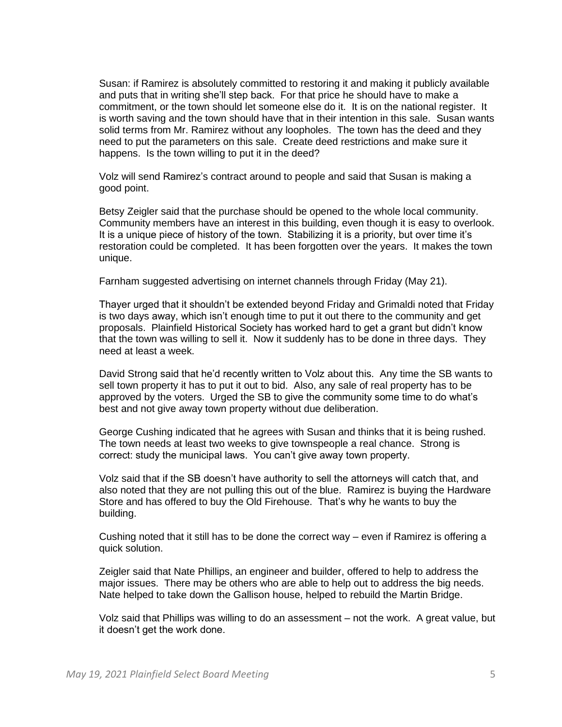Susan: if Ramirez is absolutely committed to restoring it and making it publicly available and puts that in writing she'll step back. For that price he should have to make a commitment, or the town should let someone else do it. It is on the national register. It is worth saving and the town should have that in their intention in this sale. Susan wants solid terms from Mr. Ramirez without any loopholes. The town has the deed and they need to put the parameters on this sale. Create deed restrictions and make sure it happens. Is the town willing to put it in the deed?

Volz will send Ramirez's contract around to people and said that Susan is making a good point.

Betsy Zeigler said that the purchase should be opened to the whole local community. Community members have an interest in this building, even though it is easy to overlook. It is a unique piece of history of the town. Stabilizing it is a priority, but over time it's restoration could be completed. It has been forgotten over the years. It makes the town unique.

Farnham suggested advertising on internet channels through Friday (May 21).

Thayer urged that it shouldn't be extended beyond Friday and Grimaldi noted that Friday is two days away, which isn't enough time to put it out there to the community and get proposals. Plainfield Historical Society has worked hard to get a grant but didn't know that the town was willing to sell it. Now it suddenly has to be done in three days. They need at least a week.

David Strong said that he'd recently written to Volz about this. Any time the SB wants to sell town property it has to put it out to bid. Also, any sale of real property has to be approved by the voters. Urged the SB to give the community some time to do what's best and not give away town property without due deliberation.

George Cushing indicated that he agrees with Susan and thinks that it is being rushed. The town needs at least two weeks to give townspeople a real chance. Strong is correct: study the municipal laws. You can't give away town property.

Volz said that if the SB doesn't have authority to sell the attorneys will catch that, and also noted that they are not pulling this out of the blue. Ramirez is buying the Hardware Store and has offered to buy the Old Firehouse. That's why he wants to buy the building.

Cushing noted that it still has to be done the correct way – even if Ramirez is offering a quick solution.

Zeigler said that Nate Phillips, an engineer and builder, offered to help to address the major issues. There may be others who are able to help out to address the big needs. Nate helped to take down the Gallison house, helped to rebuild the Martin Bridge.

Volz said that Phillips was willing to do an assessment – not the work. A great value, but it doesn't get the work done.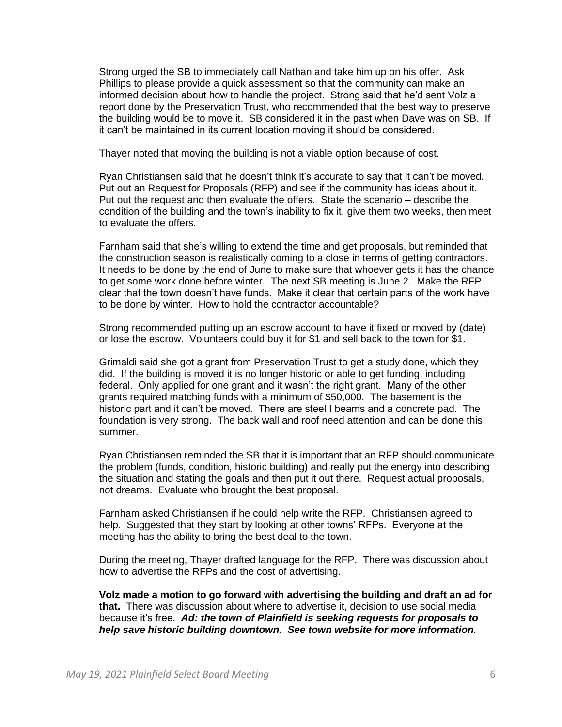Strong urged the SB to immediately call Nathan and take him up on his offer. Ask Phillips to please provide a quick assessment so that the community can make an informed decision about how to handle the project. Strong said that he'd sent Volz a report done by the Preservation Trust, who recommended that the best way to preserve the building would be to move it. SB considered it in the past when Dave was on SB. If it can't be maintained in its current location moving it should be considered.

Thayer noted that moving the building is not a viable option because of cost.

Ryan Christiansen said that he doesn't think it's accurate to say that it can't be moved. Put out an Request for Proposals (RFP) and see if the community has ideas about it. Put out the request and then evaluate the offers. State the scenario – describe the condition of the building and the town's inability to fix it, give them two weeks, then meet to evaluate the offers.

Farnham said that she's willing to extend the time and get proposals, but reminded that the construction season is realistically coming to a close in terms of getting contractors. It needs to be done by the end of June to make sure that whoever gets it has the chance to get some work done before winter. The next SB meeting is June 2. Make the RFP clear that the town doesn't have funds. Make it clear that certain parts of the work have to be done by winter. How to hold the contractor accountable?

Strong recommended putting up an escrow account to have it fixed or moved by (date) or lose the escrow. Volunteers could buy it for \$1 and sell back to the town for \$1.

Grimaldi said she got a grant from Preservation Trust to get a study done, which they did. If the building is moved it is no longer historic or able to get funding, including federal. Only applied for one grant and it wasn't the right grant. Many of the other grants required matching funds with a minimum of \$50,000. The basement is the historic part and it can't be moved. There are steel I beams and a concrete pad. The foundation is very strong. The back wall and roof need attention and can be done this summer.

Ryan Christiansen reminded the SB that it is important that an RFP should communicate the problem (funds, condition, historic building) and really put the energy into describing the situation and stating the goals and then put it out there. Request actual proposals, not dreams. Evaluate who brought the best proposal.

Farnham asked Christiansen if he could help write the RFP. Christiansen agreed to help. Suggested that they start by looking at other towns' RFPs. Everyone at the meeting has the ability to bring the best deal to the town.

During the meeting, Thayer drafted language for the RFP. There was discussion about how to advertise the RFPs and the cost of advertising.

**Volz made a motion to go forward with advertising the building and draft an ad for that.** There was discussion about where to advertise it, decision to use social media because it's free. *Ad: the town of Plainfield is seeking requests for proposals to help save historic building downtown. See town website for more information.*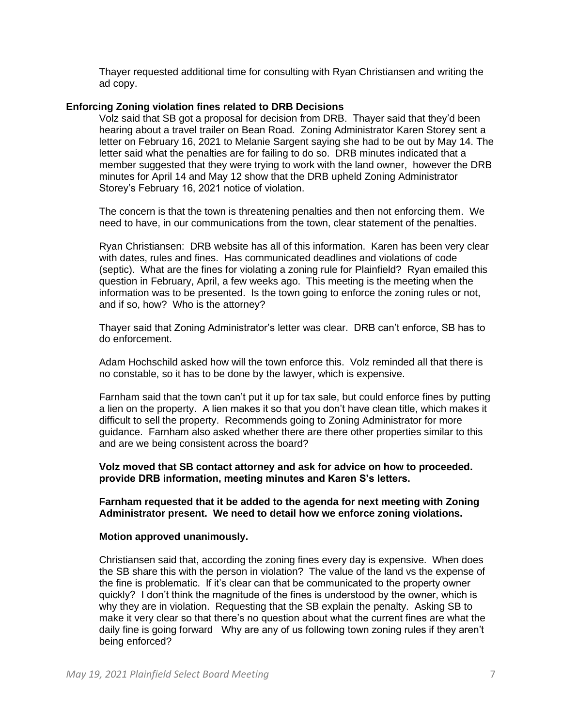Thayer requested additional time for consulting with Ryan Christiansen and writing the ad copy.

## **Enforcing Zoning violation fines related to DRB Decisions**

Volz said that SB got a proposal for decision from DRB. Thayer said that they'd been hearing about a travel trailer on Bean Road. Zoning Administrator Karen Storey sent a letter on February 16, 2021 to Melanie Sargent saying she had to be out by May 14. The letter said what the penalties are for failing to do so. DRB minutes indicated that a member suggested that they were trying to work with the land owner, however the DRB minutes for April 14 and May 12 show that the DRB upheld Zoning Administrator Storey's February 16, 2021 notice of violation.

The concern is that the town is threatening penalties and then not enforcing them. We need to have, in our communications from the town, clear statement of the penalties.

Ryan Christiansen: DRB website has all of this information. Karen has been very clear with dates, rules and fines. Has communicated deadlines and violations of code (septic). What are the fines for violating a zoning rule for Plainfield? Ryan emailed this question in February, April, a few weeks ago. This meeting is the meeting when the information was to be presented. Is the town going to enforce the zoning rules or not, and if so, how? Who is the attorney?

Thayer said that Zoning Administrator's letter was clear. DRB can't enforce, SB has to do enforcement.

Adam Hochschild asked how will the town enforce this. Volz reminded all that there is no constable, so it has to be done by the lawyer, which is expensive.

Farnham said that the town can't put it up for tax sale, but could enforce fines by putting a lien on the property. A lien makes it so that you don't have clean title, which makes it difficult to sell the property. Recommends going to Zoning Administrator for more guidance. Farnham also asked whether there are there other properties similar to this and are we being consistent across the board?

**Volz moved that SB contact attorney and ask for advice on how to proceeded. provide DRB information, meeting minutes and Karen S's letters.** 

**Farnham requested that it be added to the agenda for next meeting with Zoning Administrator present. We need to detail how we enforce zoning violations.** 

#### **Motion approved unanimously.**

Christiansen said that, according the zoning fines every day is expensive. When does the SB share this with the person in violation? The value of the land vs the expense of the fine is problematic. If it's clear can that be communicated to the property owner quickly? I don't think the magnitude of the fines is understood by the owner, which is why they are in violation. Requesting that the SB explain the penalty. Asking SB to make it very clear so that there's no question about what the current fines are what the daily fine is going forward Why are any of us following town zoning rules if they aren't being enforced?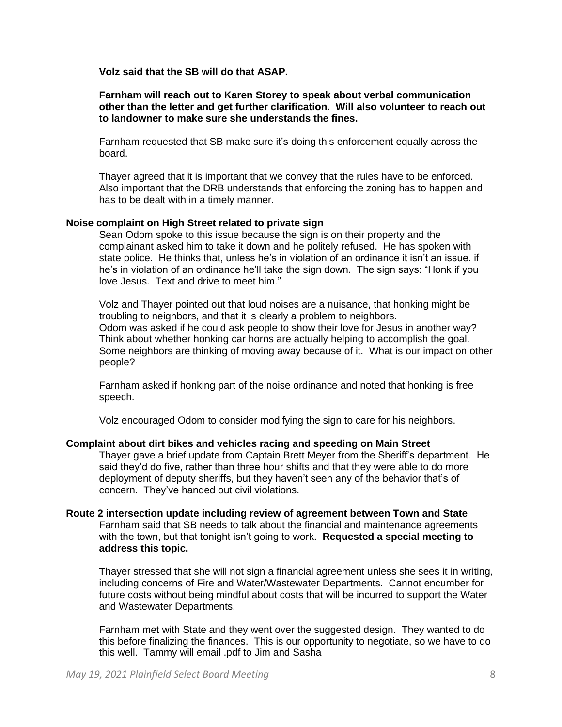### **Volz said that the SB will do that ASAP.**

#### **Farnham will reach out to Karen Storey to speak about verbal communication other than the letter and get further clarification. Will also volunteer to reach out to landowner to make sure she understands the fines.**

Farnham requested that SB make sure it's doing this enforcement equally across the board.

Thayer agreed that it is important that we convey that the rules have to be enforced. Also important that the DRB understands that enforcing the zoning has to happen and has to be dealt with in a timely manner.

#### **Noise complaint on High Street related to private sign**

Sean Odom spoke to this issue because the sign is on their property and the complainant asked him to take it down and he politely refused. He has spoken with state police. He thinks that, unless he's in violation of an ordinance it isn't an issue. if he's in violation of an ordinance he'll take the sign down. The sign says: "Honk if you love Jesus. Text and drive to meet him."

Volz and Thayer pointed out that loud noises are a nuisance, that honking might be troubling to neighbors, and that it is clearly a problem to neighbors. Odom was asked if he could ask people to show their love for Jesus in another way? Think about whether honking car horns are actually helping to accomplish the goal. Some neighbors are thinking of moving away because of it. What is our impact on other people?

Farnham asked if honking part of the noise ordinance and noted that honking is free speech.

Volz encouraged Odom to consider modifying the sign to care for his neighbors.

#### **Complaint about dirt bikes and vehicles racing and speeding on Main Street**

Thayer gave a brief update from Captain Brett Meyer from the Sheriff's department. He said they'd do five, rather than three hour shifts and that they were able to do more deployment of deputy sheriffs, but they haven't seen any of the behavior that's of concern. They've handed out civil violations.

#### **Route 2 intersection update including review of agreement between Town and State**  Farnham said that SB needs to talk about the financial and maintenance agreements with the town, but that tonight isn't going to work. **Requested a special meeting to address this topic.**

Thayer stressed that she will not sign a financial agreement unless she sees it in writing, including concerns of Fire and Water/Wastewater Departments. Cannot encumber for future costs without being mindful about costs that will be incurred to support the Water and Wastewater Departments.

Farnham met with State and they went over the suggested design. They wanted to do this before finalizing the finances. This is our opportunity to negotiate, so we have to do this well. Tammy will email .pdf to Jim and Sasha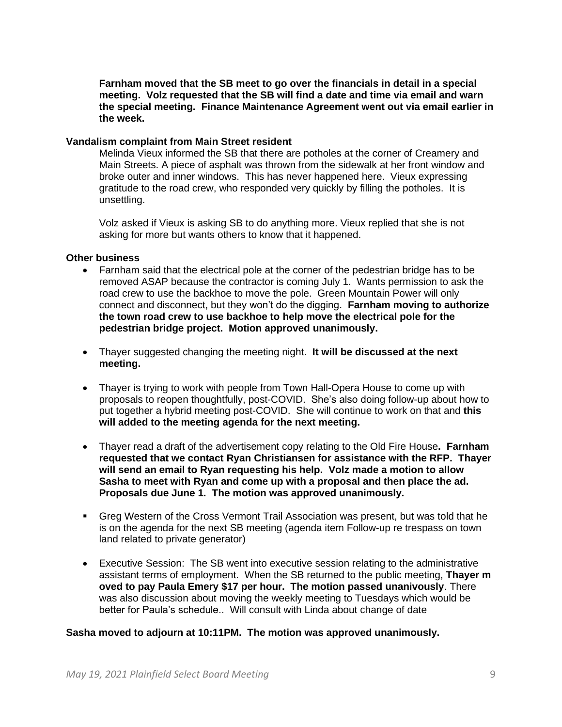**Farnham moved that the SB meet to go over the financials in detail in a special meeting. Volz requested that the SB will find a date and time via email and warn the special meeting. Finance Maintenance Agreement went out via email earlier in the week.** 

#### **Vandalism complaint from Main Street resident**

Melinda Vieux informed the SB that there are potholes at the corner of Creamery and Main Streets. A piece of asphalt was thrown from the sidewalk at her front window and broke outer and inner windows. This has never happened here. Vieux expressing gratitude to the road crew, who responded very quickly by filling the potholes. It is unsettling.

Volz asked if Vieux is asking SB to do anything more. Vieux replied that she is not asking for more but wants others to know that it happened.

### **Other business**

- Farnham said that the electrical pole at the corner of the pedestrian bridge has to be removed ASAP because the contractor is coming July 1. Wants permission to ask the road crew to use the backhoe to move the pole. Green Mountain Power will only connect and disconnect, but they won't do the digging. **Farnham moving to authorize the town road crew to use backhoe to help move the electrical pole for the pedestrian bridge project. Motion approved unanimously.**
- Thayer suggested changing the meeting night. **It will be discussed at the next meeting.**
- Thayer is trying to work with people from Town Hall-Opera House to come up with proposals to reopen thoughtfully, post-COVID. She's also doing follow-up about how to put together a hybrid meeting post-COVID. She will continue to work on that and **this will added to the meeting agenda for the next meeting.**
- Thayer read a draft of the advertisement copy relating to the Old Fire House**. Farnham requested that we contact Ryan Christiansen for assistance with the RFP. Thayer will send an email to Ryan requesting his help. Volz made a motion to allow Sasha to meet with Ryan and come up with a proposal and then place the ad. Proposals due June 1. The motion was approved unanimously.**
- Greg Western of the Cross Vermont Trail Association was present, but was told that he is on the agenda for the next SB meeting (agenda item Follow-up re trespass on town land related to private generator)
- Executive Session: The SB went into executive session relating to the administrative assistant terms of employment. When the SB returned to the public meeting, **Thayer m oved to pay Paula Emery \$17 per hour. The motion passed unanivously**. There was also discussion about moving the weekly meeting to Tuesdays which would be better for Paula's schedule.. Will consult with Linda about change of date

#### **Sasha moved to adjourn at 10:11PM. The motion was approved unanimously.**